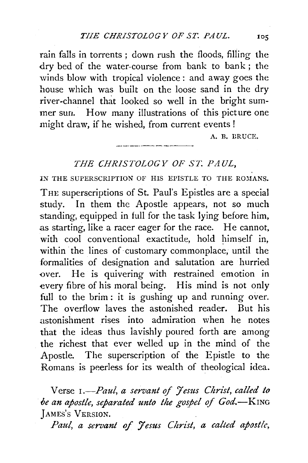rain falls in torrents ; down rush the floods, filling the dry bed of the water-course from bank to bank; the winds blow with tropical violence: and away goes the house which was built on the loose sand in the dry river-channel that looked so well in the bright summer sun. How many illustrations of this picture one might draw, if he wished, from current events !

A. B. DRUCE.

## *THE CHRISTOLOGY OF ST. PAUL,*

IN THE SUPERSCRIPTION OF HIS EPISTLE TO THE ROMANS. THE superscriptions of St. Paul's Epistles are a special study. In them the Apostle appears, not so much standing, equipped in full for the task lying before him, as starting, like a racer eager for the race. He cannot, with cool conventional exactitude, hold himself in, within the lines of customary commonplace, until the formalities of designation and salutation are hurried over. He is quivering with restrained emotion in every fibre of his moral being. His mind is not only full to the brim: it is gushing up and running over. The overflow laves the astonished reader. But his astonishment rises into admiration when he notes that the ideas thus lavishly poured forth are among the richest that ever welled up in the mind of the Apostle. The superscription of the Epistle to the Romans is peerless for its wealth of theological idea.

Verse *1.*-Paul, a servant of Jesus Christ, called to *oe an apostle, separated unto the gospel of God.-KING*  JAMES'S VERSION.

*Paul, a servant* of *'7esus Christ, a calted apostle,*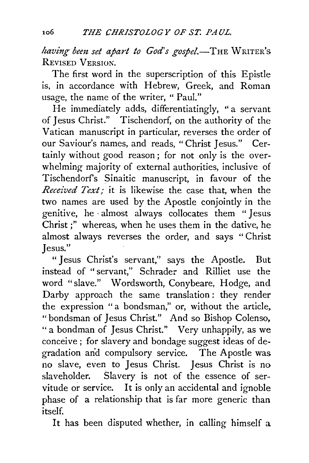*having bem set apart to God's gospel.-THE* WRITER's REVISED VERSION.

The first word in the superscription of this Epistle is, in accordance with Hebrew, Greek, and Roman usage, the name of the writer, " Paul."

He immediately adds, differentiatingly, " a servant of Jesus Christ." Tischendorf, on the authority of the Vatican manuscript in particular, reverses the order of our Saviour's names, and reads, "Christ Jesus." Certainly without good reason ; for not only is the overwhelming-majority of external authorities, inclusive of Tischendorfs Sinaitic manuscript, in favour of the *Received Text;* it is likewise the case that, when the two names are used by the Apostle conjointly in the genitive, he · almost always collocates them " Jesus Christ;" whereas, when he uses them in the dative, he almost always reverses the order, and says "Christ Jesus."

"Jesus Christ's servant," says the Apostle. But instead of "servant," Schrader and Rilliet use the word "slave." Wordsworth, Conybeare, Hodge, and Darby approach the same translation: they render the expression "a bondsman," or, without the article, "bondsman of Jesus Christ." And so Bishop Colenso, " a bondman of Jesus Christ." Very unhappily, as we conceive; for slavery and bondage suggest ideas of degradation and compulsory service. The Apostle was no slave, even to Jesus Christ. Jesus Christ is no slaveholder. Slavery is not of the essence of servitude or service. It is only an accidental and ignoble phase of a relationship that is far more generic than itsel£

It has been disputed whether, in calling himself a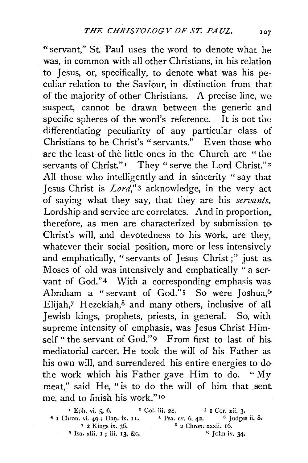"servant," St. Paul uses the word to denote what he was, in common with all other Christians; in his relation to Jesus, or, specifically, to denote what was his peculiar relation to the Saviour, in distinction from that of the majority of other Christians. A precise line, we suspect, cannot be drawn between the generic and specific spheres of the word's reference. It is not the differentiating peculiarity of any particular class of Christians to be Christ's "servants." Even those who are the least of the little ones in the Church are " the servants of Christ."<sup>1</sup> They " serve the Lord Christ."<sup>2</sup> All those who intelligently and in sincerity "say that Jesus Christ is *Lord*,"<sup>3</sup> acknowledge, in the very act of saying what they say, that they are his *servants.*  Lordship and service are correlates. And in proportion, therefore, as men are characterized by submission to-Christ's will, and devotedness to his work, are they. whatever their social position, more or less intensively and emphatically, "servants of Jesus Christ;" just as. Moses of old was intensively and emphatically " a servant of God."<sup>4</sup> With a corresponding emphasis was Abraham a "servant of God."<sup>5</sup> So were Joshua,<sup>6</sup> Elijah,7 Hezekiah,8 and many others, inclusive of all Jewish kings, prophets, priests, in general. So, with supreme intensity of emphasis, was Jesus Christ Himself " the servant of God."9 From first to last of his mediatorial career, He took the will of his Father as his own will, and surrendered his entire energies to do the work which his Father gave Him to do. "My meat," said He, "is to do the will of him that sent me, and to finish his work." 10

| <sup>t</sup> Eph. vi. 5, 6.                | <sup>2</sup> Col. iii. 24.   | $3$ I Cor. xii. 3.           |
|--------------------------------------------|------------------------------|------------------------------|
| <sup>4</sup> I Chron. vi. 49; Dan. ix. II. | <sup>5</sup> Psa. cv. 6, 42. | $6$ Judges ii. $8$ .         |
| 7 2 Kings ix. 36.                          |                              | $3$ 2 Chron. xxxii. $16$ .   |
| $9$ Isa. xlii. 1; lii. 13, &c.             |                              | $\frac{10}{10}$ John iv. 34. |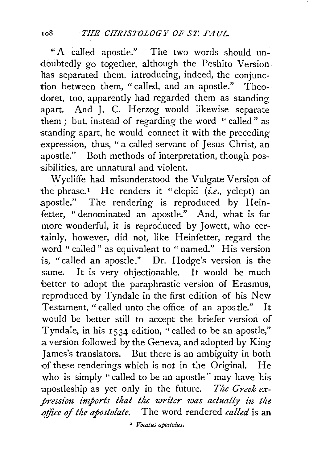"A called apostle." The two words should un- -doubtedly go together, although the Peshito Version has separated them, introducing, indeed, the conjunction between them, " called, and an apostle." Theo- · doret, too, apparently had regarded them as standing apart. And J. C. Herzog would likewise separate them ; but, instead of regarding the word " called" as standing apart, he would connect it with the preceding expression, thus, " a called servant of Jesus Christ, an apostle." Both methods of interpretation, though possibilities, are unnatural and violent.

Wycliffe had misunderstood the Vulgate Version of the phrase.<sup> $I$ </sup> He renders it "clepid *(i.e., yclept)* an apostle." The rendering is reproduced by Heinfetter, "denominated an apostle." And, what is far more wonderful, it is reproduced by Jowett, who certainly, however, did not, like Heinfetter, regard the word "called" as equivalent to "named." His version is, "called an apostle." Dr. Hodge's version is the same. It is very objectionable. It would be much better to adopt the paraphrastic version of Erasmus, reproduced by Tyndale in the first edition of his New Testament, "called unto the office of an apostle." It would be better still to accept the briefer version of Tyndale, in his 1534 edition, " called to be an apostle," .a version followed by the Geneva, and adopted by King James's translators. But there is an ambiguity in both of these renderings which is not in the Original. He who is simply "called to be an apostle" may have his apostleship as yet only in the future. *The Greek expression imports that the writer was actually in the .office* of *the apostolate.* The word rendered *called* is an

~ *Vocatus apostolus.*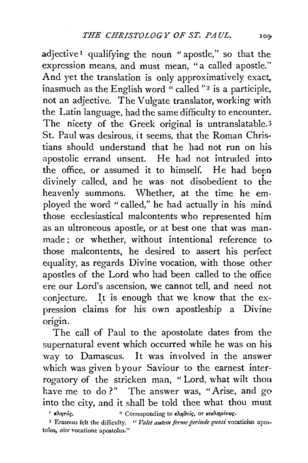$adjective<sup>T</sup>$  qualifying the noun "apostle," so that the expression means, and must mean, "a called apostle." And yet the translation is only approximatively exact. inasmuch as the English word "called " $2$  is a participle, not an adjective. The Vulgate translator, working with the Latin language, had the same difficulty to encounter. The nicety of the Greek original is untranslatable.<sup>3</sup> St. Paul was desirous, it seems, that the Roman Christians should understand that he had not run on his apostolic errand unsent. He had not intruded into the office, or assumed it to himself. He had been divinely called, and he was not disobedient to the heavenly summons. Whether, at the time he employed the word " called," he had actually in his mind those ecclesiastical malcontents who represented him as an ultroneous apostle, or at best one that was manmade ; or whether, without intentional reference to those malcontents, he desired to assert his perfect equality, as regards Divine vocation, with those other apostles of the Lord who had been called to the office ere our Lord's ascension, we cannot tell, and need not conjecture. It is enough that we know that the expression claims for his own apostleship a Divine origin.

The call of Paul to the apostolate dates from the supernatural event which occurred while he was on his way to Damascus. It was involved in the answer which was given byour Saviour to the earnest interrogatory of the stricken man, " Lord, what wilt thou have me to do?" The answer was, "Arise, and go into the city, and it shall be told thee what thou must

 $\frac{1}{2}$   $\kappa \lambda \eta \tau \delta \zeta$ ,  $\kappa \kappa \lambda \eta \mu \epsilon \iota \delta \zeta$ ,  $\delta$ ,  $\kappa \kappa \lambda \eta \mu \epsilon \iota \delta \zeta$ .

<sup>3</sup> Erasmus felt the difficulty. " *Valet autem ferme perinde quasi* vocaticius apostolus, *sive* Yocatione apostolus."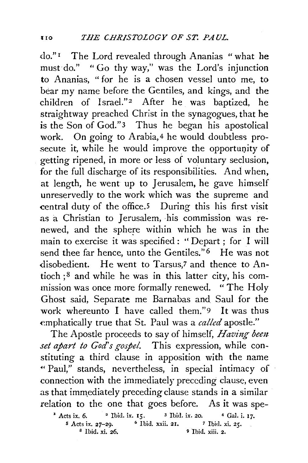do." 1 The Lord revealed through Ananias "what he must do." " Go thy way," was the Lord's injunction to Ananias, " for he is a chosen vessel unto me, to bear my name before the Gentiles, and kings, and the children of Israel."<sup>2</sup> After he was baptized, he straightway preached Christ in the synagogues, that he is the Son of God."3 Thus he began his apostolical work. On going to Arabia, 4 he would doubtless prosecute it, while he would improve the opportunity of getting ripened, in more or less of voluntary seclusion, for the full discharge of its responsibilities. And when, at length, he went up to Jerusalem, he gave himself unreservedly to the work which was the supreme and central duty of the office.5 During this his first visit as a Christian to Jerusalem, his commission was renewed, and the sphere within which he was in the main to exercise it was specified : '' Depart ; for I will send thee far hence, unto the Gentiles."<sup>6</sup> He was not disobedient. He went to Tarsus,7 and thence to Antioch  $;$ <sup>8</sup> and while he was in this latter city, his commission was once more formally renewed. "The Holy Ghost said, Separate me Barnabas and. Saul for the work whereunto I have called them."9 It was thus ~mphatically true that St. Paul was a *called* apostle."

The Apostle proceeds to say of himself, *Having bem set apart to God's gospel.* This expression, while constituting a third clause in apposition with the name •• Paul," stands, nevertheless, in special intimacy of connection with the immediately preceding clause, even as that immediately preceding clause stands in a similar relation to the one that goes before. As it was spe-

<sup>2</sup> Acts ix. 6. <sup>2</sup> Ibid. ix. 15. <sup>3</sup> Ibid. ix. 20. <sup>4</sup> Gal. i. 17. *<sup>s</sup>*Acts ix. 27-29. 6 Ibid. xxii. 21. 7 Ibid. xi. 25. 8 Ibid. xi. 26. 9 Ibid. xiii. 2.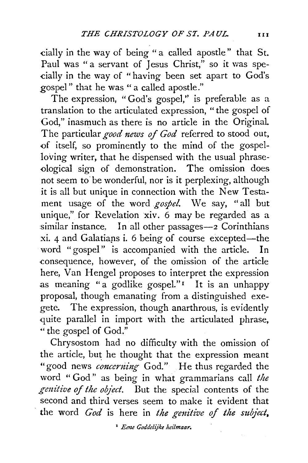cially in the way of being "a called apostle" that St. Paul was " a servant of Jesus Christ," so it was spe--cially in the way of "having been set apart to God's gospel " that he was " a called apostle."

The expression, "God's gospel," is preferable as a translation to the articulated expression, " the gospel of God," inasmuch as there is no article in the Original. The particular *good news of God* referred to stood out, {)f itself, so prominently to the mind of the gospelloving writer, that he dispensed with the usual phrasedogical sign of demonstration. The omission does not seem to· be wonderful, nor is it perplexing, although it is all but unique in connection with the New Testament usage of the word *gospel.* We say, " all but unique," for Revelation xiv. 6 may be regarded as a similar instance. In all other passages-2 Corinthians  $xi. 4$  and Galatians i. 6 being of course excepted-the word "gospel" is accompanied with the article. In -consequence, however, of the omission of the article here, Van Hengel proposes to interpret the expression as meaning "a godlike gospel."<sup>1</sup> It is an unhappy proposal, though emanating from a distinguished exegete. The expression, though anarthrous, is evidently quite parallel in import with the articulated phrase, " the gospel of God."

Chrysostom had no difficulty with the omission of the article, but he thought that the expression meant "good news *concerning* God." He thus regarded the word " God" as being in what grammarians call *the*  genitive of the object. But the special contents of the second and third verses seem to make it evident that the word *God* is here in the genitive of the subject,

' *Eette Goddelijke heilmaar.*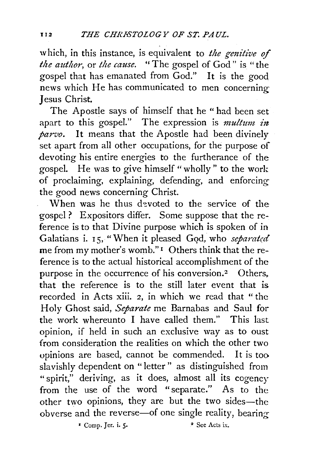which, in this instance, is equivalent to *the genitive of the author, or the cause.* "The gospel of God" is "the gospel that has emanated from God." It is the good news which He has communicated to men concerning- *}* esus Christ.

The Apostle says of himself that he " had been set apart to this gospel." The expression is *multum in parvo.* It means that the Apostle had been divinely set apart from all other occupations, for the purpose of devoting his entire energies to the furtherance of the gospel. He was to give himself" wholly" to the work of proclaiming, explaining, defending, and enforcing the good news concerning Christ.

When was he thus devoted to the service of the gospel ? Expositors differ. Some suppose that the reference is to that Divine purpose which is spoken of in Galatians i. 15, "When it pleased God, who *separated* me from my mother's womb." 1 Others think that the reference is to the actual historical accomplishment of the purpose in the occurrence of his conversion.<sup>2</sup> Others. that the reference is to the still later event that is recorded in Acts xiii. 2, in which we read that "the Holy Ghost said, *Separate* me Barnabas and Saul for the work whereunto I have called them." This last opinion, if held in such an exclusive way as to oust from consideration the realities on which the other two opinions are based, cannot be commended. It is too slavishly dependent on "letter" as distinguished from "spirit," deriving, as it does, almost all its cogency from the use of the word "separate." As to the other two opinions, they are but the two sides-the obverse and the reverse-of one single reality, bearing *•* Comp. Jer. i. *5·* • See Acts ix.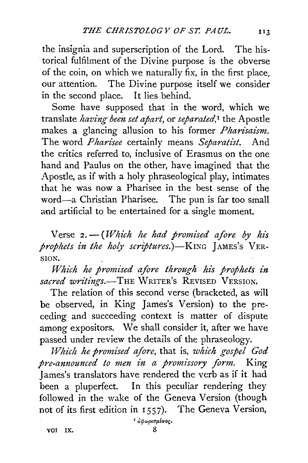the insignia and superscription of the Lord. The his- . torical fulfilment of the Divine purpose is the obverse of the coin, on which we naturally fix, in the first place, our attention. The Divine purpose itself we consider in the second place. It lies behind.

Some have supposed that in the word, which we translate *having been set apart,* or *separated, <sup>1</sup>*the Apostle makes a glancing allusion to his former *Pharisaism*. The word *Pharisee* certainly means *Separatist.* And the critics referred to, inclusive of Erasmus on the one hand and Paulus on the other, have imagined that the Apostle, as if with a holy phraseological play, intimates that he was now a Pharisee in the best sense of the word-a Christian Pharisee. The pun is far too small and artificial to be entertained for a single moment.

Verse 2. - (Which he had promised afore by his *prophets in the holy scriptures.*)-KING *JAMES'S* VER-SION.

*Which he promised afore through his prophets in sacred writings.*—THE WRITER's REVISED VERSION.

The relation of this second verse (bracketed, as will be observed, in King James's Version) to the preceding and succeeding context is matter of dispute among expositors. We shall consider it, after we have passed under review the details of the phraseology.

*J-Vhich he promised afore,* that is, *which gospel God pre-announced to men in a promissory form.* King James's translators have rendered the verb as if it had been a pluperfect. In this peculiar rendering they followed in the wake of the Geneva Version (though not of its first edition in 1557). The Geneva Version,

<sup>1</sup> αφωρισμένος.

voi ix. 8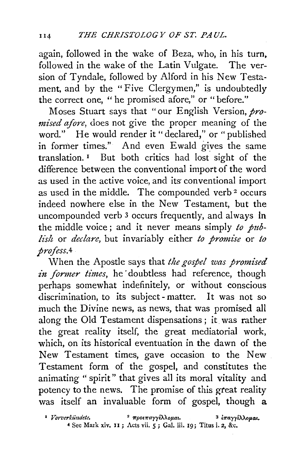again, followed in the wake of Beza, who, in his turn, followed in the wake of the Latin Vulgate. The version of Tyndale, followed by Alford in his New Testament, and by the "Five Clergymen," is undoubtedly the correct one, " he promised afore," or "before."

Moses Stuart says that "our English Version, *promised afore,* does not give the proper meaning of the word." He would render it "declared," or "published in former times." And even Ewald gives the same translation. 1 But both critics had lost sight of the difference between the conventional import of the word as used in the active voice, and its conventional import as used in the middle. The compounded verb 2 occurs indeed nowhere else in the New Testament, but the uncompounded verb 3 occurs frequently, and always In the middle voice; and it never means simply *to publish* or *declare,* but invariably either *to promise* or *to profess.4* 

When the Apostle says that *the gospel was promised*  in former times, he doubtless had reference, though perhaps somewhat indefinitely, or without conscious discrimination, to its subject- matter. It was not so much the Divine news, as news, that was promised all along the Old Testament dispensations; it was rather the great reality itself, the great mediatorial work, which, on its historical eventuation in the dawn of the New Testament times, gave occasion to the New Testament form of the gospel, and constitutes the animating "spirit" that gives all its moral vitality and potency to the news. The promise of this great reality was itself an invaluable form of gospel, though a

<sup>2</sup> *Vorverkündete.* <sup>2</sup> *προεπαγγέλλομαι.* <sup>3</sup> *iπαγγέλλομαι.* 4 See Mark xiv, II; Acts vii. 5; Gal. iii. 19; Titus i. 2, &c.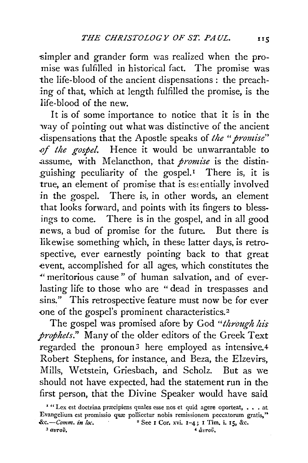simpler and grander form was realized when the promise was fulfilled in historical fact. The promise was the life-blood of the ancient dispensations : the preaching of that, which at length fulfilled the promise, is the life-blood of the new.

It is of some importance to notice that it is in the way of pointing out what was distinctive of the ancient dispensations that the Apostle speaks of *the "promise*" of the gospel. Hence it would be unwarrantable to .assume, with Melancthon, that *promise* is the distinguishing peculiarity of the gospel.<sup>1</sup> There is, it is true, an element of promise that is essentially involved in the gospel. There is, in other words, an element that looks forward, and points with its fingers to blessings to come. There is in the gospel, and in all good news, a bud of promise for the future. But there is likewise something which, in these latter days, is retrospective, ever earnestly pointing back to that great event, accomplished for all ages, which constitutes the " meritorious cause" of human salvation, and of everlasting life to those who are " dead in trespasses and sins." This retrospective feature must now be for ever one of the gospel's prominent characteristics.<sup>2</sup>

The gospel was promised afore by God *"through his prophets."* Many of the older editors of the Greek Text regarded the pronoun3 here employed as intensive.4 Robert Stephens, for instance, and Beza, the Elzevirs, Mills, Wetstein, Griesbach, and Scholz. But as we should not have expected, had the statement run in the first person, that the Divine Speaker would have said

<sup>&#</sup>x27; "Lex est doctrina prrecipiens quales esse nos et quid agere oporteat, • • . at Evangelium est promissio quæ pollicetur nobis remissionem peccatorum gratis," *&c.-Comm. in loc.* 2 See I Cor. xvi. 1-4; I Tim. i. IS, &c.

 $\partial^3$  *avro* $\tilde{v}$ .  $\partial^4$  *avroi*.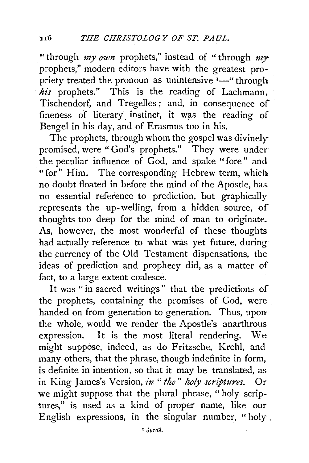"through *my own* prophets," instead of "through *my* prophets," modern editors have with the greatest propriety treated the pronoun as unintensive  $I^{\text{--}}$  through *his* prophets." This is the reading of Lachmann, Tischendorf, and Tregelles; and, in consequence of fineness of literary instinct, it was the reading of Bengel in his day, and of Erasmus too in his.

The prophets, through whom the gospel was divinely promised, were "God's prophets." They were under the peculiar influence of God, and spake "fore" and "for" Him. The corresponding Hebrew term, which no doubt floated in before the mind of the Apostle, has. no essential reference to prediction, but graphically represents the up-welling, from a hidden source, of thoughts too deep for the mind of man to originate. As, however, the most wonderful of these thoughts had actually reference to what was yet future, during the currency of the Old Testament dispensations, the ideas of prediction and prophecy did, as a matter of fact, to a large extent coalesce.

It was "in sacred writings" that the predictions of the prophets, containing the promises of God, were handed on from generation to generation. Thus, upon the whole, would we render the Apostle's anarthrous expression. It is the most literal rendering. We. might suppose, indeed, as do Fritzsche, Krehl, and many others, that the phrase, though indefinite in form, is definite in intention, so that it may be translated, as in King James's Version, *in* "the" holy scriptures. Or we might suppose that the plural phrase, " holy scriptures," is used as a kind of proper name, like our English expressions, in the singular number, "holy.

1 *ctvroV.*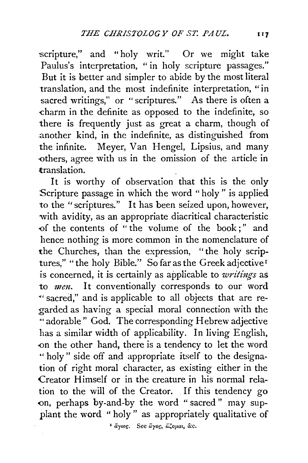scripture," and "holy writ." Or we might take Paulus's interpretation, "in holy scripture passages." But it is better and simpler to abide by the most literal translation, and the most indefinite interpretation, "in sacred writings," or "scriptures." As there is often a -charm in the definite as opposed to the indefinite, so there is frequently just as great a charm, though of another kind, in the indefinite, as distinguished from the infinite. Meyer, Van Hengel, Lipsius, and many -others, agree with us in the omission of the article in translation.

It is worthy of observation that this is the only Scripture passage in which the word "holy " is applied to the "scriptures." It has been seized upon, however, with avidity, as an appropriate diacritical characteristic -of the contents of " the volume of the book ; " and hence nothing is more common in the nomenclature of the Churches, than the expression, "the holy scriptures," "the holy Bible." So far as the Greek adjective<sup>r</sup> is concerned, it is certainly as applicable to *writings* as to *men.* It conventionally corresponds to our word ~·sacred," and is applicable to all objects that are regarded as having a special moral connection with the "'adorable" God. The corresponding Hebrew adjective has a similar width of applicability. In living English, -on the other hand, there is a tendency to let the word " holy" side off and appropriate itself to the designation of right moral character, as existing either in the Creator Himself or in the creature in his normal relation to the will of the Creator. If this tendency go on, perhaps by-and-by the word "sacred" may supplant the word "holy" as appropriately qualitative of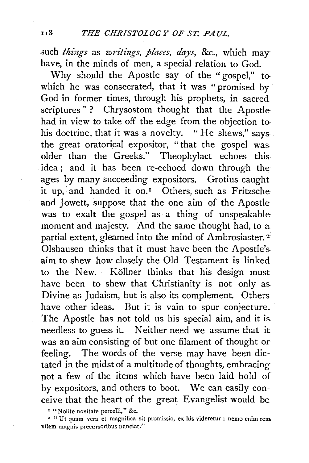such *things* as *writings, places, days, &c., which may* have, in the minds of men, a special relation to God.

Why should the Apostle say of the "gospel," towhich he was consecrated, that it was "promised by God in former times, through his prophets, in sacred scriptures"? Chrysostom thought that the Apostle had in view to take off the edge from the objection tohis doctrine, that it was a novelty. "He shews," says. the great oratorical expositor, " that the gospel was older than the Greeks." Theophylact echoes this. idea; and it has been re-echoed down through the ages by many succeeding expositors. Grotius caught it up, and handed it on.<sup>1</sup> Others, such as Fritzsche and Jowett, suppose that the one aim of the Apostle was to exalt the gospel as a thing of unspeakable moment and majesty. And the same thought had, to a partial extent, gleamed into the mind of Ambrosiaster.<sup>2</sup> Olshausen thinks that it must have been the Apostle's. aim to shew how closely the Old Testament is linked to the New. Kollner thinks that his design must have been to shew that Christianity is not only as. Divine as Judaism, but is also its complement. Others have other ideas. But it is vain to spur conjecture. The Apostle has not told us his special aim, and it is. needless to guess it. Neither need we assume that it was an aim consisting of but one filament of thought or feeling. The words of the verse may have been dictated in the midst of a multitude of thoughts, embracingnot a few of the items which have been laid hold of by expositors, and others to boot. We can easily conceive that the heart of the great Evangelist would be

<sup>1</sup> "Nolite novitate percelli," &c.<br><sup>2</sup> "Ut quam vera et magnifica sit promissio, ex his videretur : nemo enim remo vilem magnis precursoribus mmciat."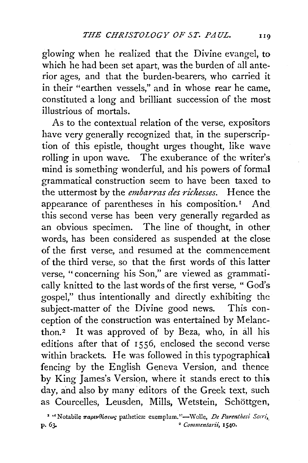glowing when he realized that the Divine evangel, to which he had been set apart, was the burden of all anterior ages, and that the burden-bearers, who carried it in their "earthen vessels," and in whose rear he came, constituted a long and brilliant succession of the most illustrious of mortals.

As to the contextual relation of the verse, expositors have very generally recognized that, in the superscription of this epistle, thought urges thought, like wave rolling in upon wave. The exuberance of the writer's mind is something wonderful, and his powers of formal grammatical construction seem to have been taxed to the uttermost by the *embarras des richesses.* Hence the appearance of parentheses in his composition.<sup>1</sup> And this second verse has been very generally regarded as an obvious specimen. The line of thought, in other words, has been considered as suspended at the close of the first verse, and resumed at the commencement of the third verse, so that the first words of this latter verse, " concerning his Son," are viewed as grammatically knitted to the last words of the first verse, "God's gospel," thus intentionally and directly exhibiting the subject-matter of the Divine good news. This conception of the construction was entertained by Melancthon.<sup>2</sup> It was approved of by Beza, who, in all his editions after that of 1556, enclosed the second verse within brackets. He was followed in this typographical fencing by the English Geneva Version, and thence by King James's Version, where it stands erect to this day, and also by many editors of the Greek text, such as Courcelles, Leusden, Mills, Wetstein, Schöttgen,

<sup>1</sup> '' Notabile παρενθέσεως patheticæ exemplum."—Wolle, *De Parenthesi Sacri*,<br>p. 63.<br><sup>2</sup> Commentarii, 1540. <sup>2</sup> Commentarii, 1540.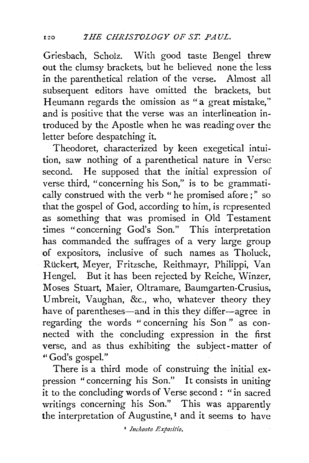Griesbach, Scholz. With good taste Bengel threw out the clumsy brackets, but he believed none the less in the parenthetical relation of the verse. Almost all subsequent editors have omitted the brackets, but Heumann regards the omission as "a great mistake," and is positive that the verse was an interlineation introduced by the Apostle when he was reading over the letter before despatching it.

Theodoret, characterized by keen exegetical intuition, saw nothing of a parenthetical nature in Verse second. He supposed that the initial expression of verse third, "concerning his Son," is to be grammatically construed with the verb "he promised afore;" so that the gospel of God, according to him, is represented as something that was promised in Old Testament times "concerning God's Son." This interpretation has commanded the suffrages of a very large group of expositors, inclusive of such names as Tholuck, Rückert, Meyer, Fritzsche, Reithmayr, Philippi, Van Hengel. But it has been rejected by Reiche, Winzer, Moses Stuart, Maier, Oltramare, Baumgarten-Crusius, Umbreit, Vaughan, &c., who, whatever theory they have of parentheses—and in this they differ-agree in regarding the words " concerning his Son " as connected with the concluding expression in the first verse, and as thus exhibiting the subject-matter of "God's gospel."

There is a third mode of construing the initial expression "concerning his Son." It consists in uniting  $\overline{\text{it}}$  to the concluding words of Verse second : "in sacred writings concerning his Son." This was apparently the interpretation of Augustine, 1 and it seems to have

1 *luchoata Expositio.*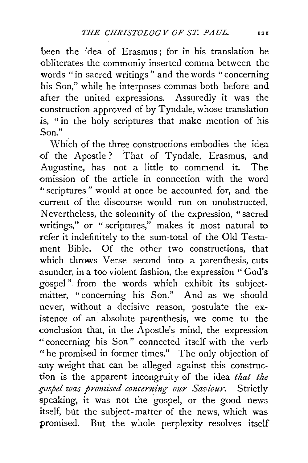been the idea of Erasmus; for in his translation he <>bliterates the commonly inserted comma between the words "in sacred writings" and the words "concerning his Son," while he interposes commas both before and after the united expressions. Assuredly it was the construction approved of by Tyndale, whose translation is, " in the holy scriptures that make mention of his Son."

Which of the three constructions embodies the idea <>f the Apostle? That of Tyndale, Erasmus, and Augustine, has not a little to commend it. The omission of the article in connection with the word "scriptures " would at once be accounted for, and the current of the discourse would run on unobstructed. Nevertheless, the solemnity of the expression, " sacred writings," or " scriptures," makes it most natural to refer it indefinitely to the sum-total of the Old Testament Bible. Of the other two constructions, that which throws Verse second into a parenthesis, cuts asunder, in a too violent fashion, the expression ''God's gospel " from the words which exhibit its subjectmatter, "concerning his Son." And as we should never, without a decisive reason, postulate the existence of an absolute parenthesis, we come to the conclusion that, in the Apostle's mind, the expression "'concerning his Son" connected itself with the verb "he promised in former times." The only objection of any weight that can be alleged against this construction is the apparent incongruity of the idea *that the gospel was promised concerning our Saviour.* Strictly speaking, it was not the gospel, or the good news itself, but the subject-matter of the news, which was promised. But the whole perplexity resolves itself